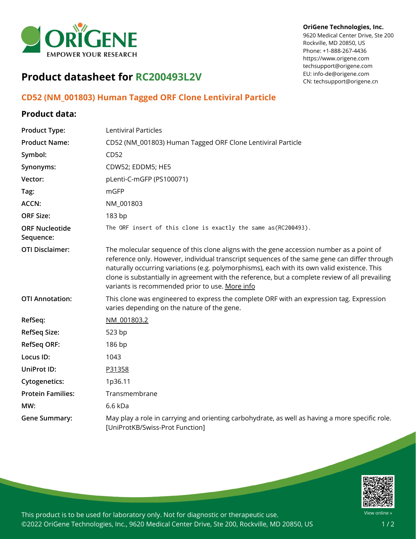

#### **OriGene Technologies, Inc.**

9620 Medical Center Drive, Ste 200 Rockville, MD 20850, US Phone: +1-888-267-4436 https://www.origene.com techsupport@origene.com EU: info-de@origene.com CN: techsupport@origene.cn

# **Product datasheet for RC200493L2V**

# **CD52 (NM\_001803) Human Tagged ORF Clone Lentiviral Particle**

## **Product data:**

| <b>Product Type:</b>               | Lentiviral Particles                                                                                                                                                                                                                                                                                                                                                                                                                           |
|------------------------------------|------------------------------------------------------------------------------------------------------------------------------------------------------------------------------------------------------------------------------------------------------------------------------------------------------------------------------------------------------------------------------------------------------------------------------------------------|
| <b>Product Name:</b>               | CD52 (NM_001803) Human Tagged ORF Clone Lentiviral Particle                                                                                                                                                                                                                                                                                                                                                                                    |
| Symbol:                            | CD52                                                                                                                                                                                                                                                                                                                                                                                                                                           |
| Synonyms:                          | CDW52; EDDM5; HE5                                                                                                                                                                                                                                                                                                                                                                                                                              |
| Vector:                            | pLenti-C-mGFP (PS100071)                                                                                                                                                                                                                                                                                                                                                                                                                       |
| Tag:                               | mGFP                                                                                                                                                                                                                                                                                                                                                                                                                                           |
| <b>ACCN:</b>                       | NM_001803                                                                                                                                                                                                                                                                                                                                                                                                                                      |
| <b>ORF Size:</b>                   | 183 bp                                                                                                                                                                                                                                                                                                                                                                                                                                         |
| <b>ORF Nucleotide</b><br>Sequence: | The ORF insert of this clone is exactly the same as(RC200493).                                                                                                                                                                                                                                                                                                                                                                                 |
| <b>OTI Disclaimer:</b>             | The molecular sequence of this clone aligns with the gene accession number as a point of<br>reference only. However, individual transcript sequences of the same gene can differ through<br>naturally occurring variations (e.g. polymorphisms), each with its own valid existence. This<br>clone is substantially in agreement with the reference, but a complete review of all prevailing<br>variants is recommended prior to use. More info |
| <b>OTI Annotation:</b>             | This clone was engineered to express the complete ORF with an expression tag. Expression<br>varies depending on the nature of the gene.                                                                                                                                                                                                                                                                                                        |
| RefSeq:                            | NM 001803.2                                                                                                                                                                                                                                                                                                                                                                                                                                    |
| <b>RefSeq Size:</b>                | 523 bp                                                                                                                                                                                                                                                                                                                                                                                                                                         |
| <b>RefSeq ORF:</b>                 | 186 bp                                                                                                                                                                                                                                                                                                                                                                                                                                         |
| Locus ID:                          | 1043                                                                                                                                                                                                                                                                                                                                                                                                                                           |
| UniProt ID:                        | P31358                                                                                                                                                                                                                                                                                                                                                                                                                                         |
| <b>Cytogenetics:</b>               | 1p36.11                                                                                                                                                                                                                                                                                                                                                                                                                                        |
| <b>Protein Families:</b>           | Transmembrane                                                                                                                                                                                                                                                                                                                                                                                                                                  |
| MW:                                | 6.6 kDa                                                                                                                                                                                                                                                                                                                                                                                                                                        |
| <b>Gene Summary:</b>               | May play a role in carrying and orienting carbohydrate, as well as having a more specific role.<br>[UniProtKB/Swiss-Prot Function]                                                                                                                                                                                                                                                                                                             |



This product is to be used for laboratory only. Not for diagnostic or therapeutic use. ©2022 OriGene Technologies, Inc., 9620 Medical Center Drive, Ste 200, Rockville, MD 20850, US